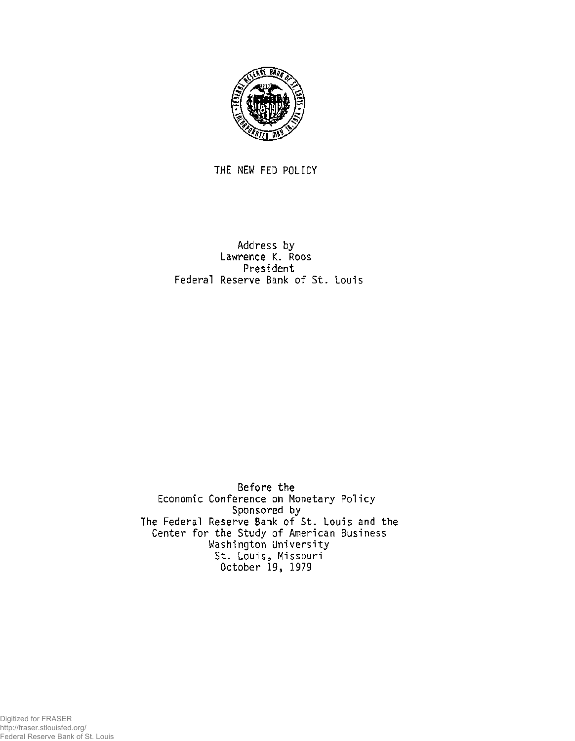

THE NEW FED POLICY

Address by Lawrence K. Roos President Federal Reserve Bank of St. Louis

Before the Economic Conference on Monetary Policy Sponsored by The Federal Reserve Bank of St. Louis and the Center for the Study of American Business Washington University St. Louis, Missouri October 19, 1979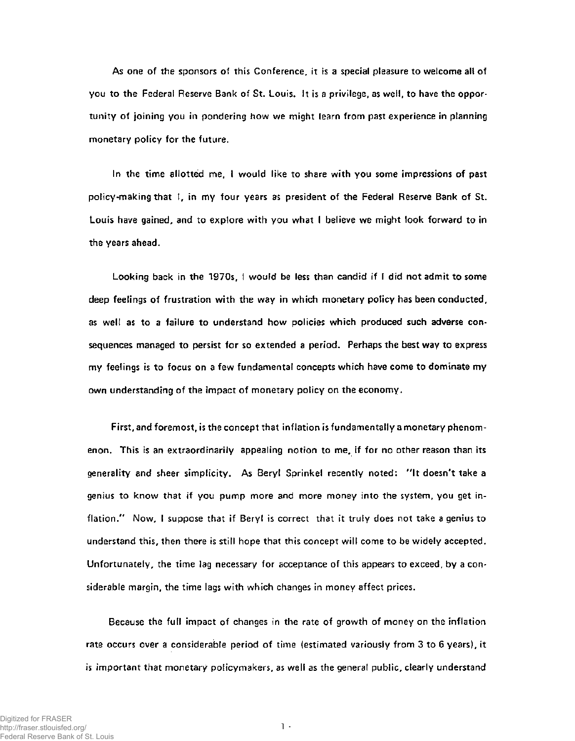As one of the sponsors of this Conference, it is a special pleasure to welcome all of you to the Federal Reserve Bank of St. Louis. It is a privilege, as well, to have the opportunity of joining you in pondering how we might learn from past experience in planning monetary policy for the future.

In the time allotted me, I would like to share with you some impressions of past policy-making that I, in my four years as president of the Federal Reserve Bank of St. Louis have gained, and to explore with you what I believe we might look forward to in the years ahead.

Looking back in the 1970s, I would be less than candid if I did not admit to some deep feelings of frustration with the way in which monetary policy has been conducted, as well as to a failure to understand how policies which produced such adverse consequences managed to persist for so extended a period. Perhaps the best way to express my feelings is to focus on a few fundamental concepts which have come to dominate my own understanding of the impact of monetary policy on the economy.

First, and foremost, is the concept that inflation is fundamentally a monetary phenomenon. This is an extraordinarily appealing notion to me, if for no other reason than its generality and sheer simplicity. As Beryl Sprinkel recently noted: "It doesn't take a genius to know that if you pump more and more money into the system, you get inflation." Now, I suppose that if Beryl is correct that it truly does not take a genius to understand this, then there is still hope that this concept will come to be widely accepted. Unfortunately, the time lag necessary for acceptance of this appears to exceed, by a considerable margin, the time lags with which changes in money affect prices.

Because the full impact of changes in the rate of growth of money on the inflation rate occurs over a considerable period of time (estimated variously from 3 to 6 years), it is important that monetary policymakers, as well as the general public, clearly understand

**1 -**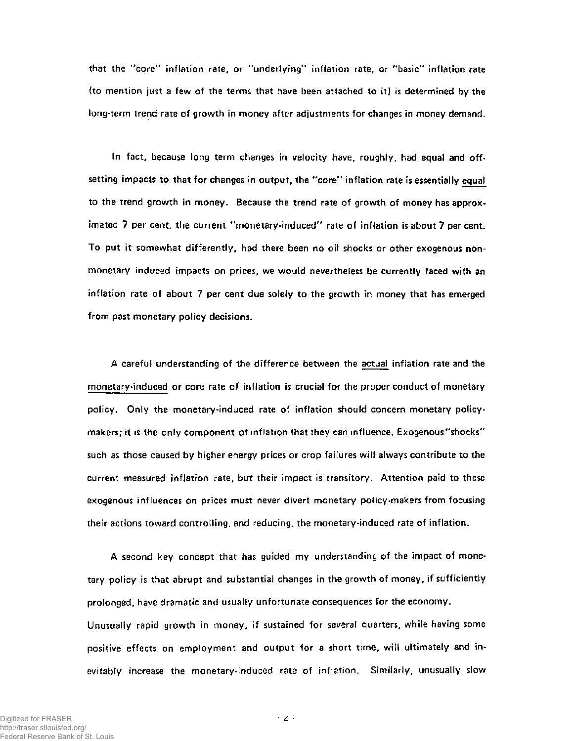that the "core" inflation rate, or "underlying" inflation rate, or "basic" inflation rate (to mention just a few of the terms that have been attached to it) is determined by the long-term trend rate of growth in money after adjustments for changes in money demand.

In fact, because long term changes in velocity have, roughly, had equal and offsetting impacts to that for changes in output, the "core" inflation rate is essentially equal to the trend growth in money. Because the trend rate of growth of money has approximated 7 per cent, the current "monetary-induced" rate of inflation is about 7 per cent. To put it somewhat differently, had there been no oil shocks or other exogenous nonmonetary induced impacts on prices, we would nevertheless be currently faced with an inflation rate of about 7 per cent due solely to the growth in money that has emerged from past monetary policy decisions.

A careful understanding of the difference between the actual inflation rate and the monetary-induced or core rate of inflation is crucial for the proper conduct of monetary policy. Only the monetary-induced rate of inflation should concern monetary policymakers; it is the only component of inflation that they can influence. Exogenous "shocks" such as those caused by higher energy prices or crop failures will always contribute to the current measured inflation rate, but their impact is transitory. Attention paid to these exogenous influences on prices must never divert monetary policy-makers from focusing their actions toward controlling, and reducing, the monetary-induced rate of inflation.

A second key concept that has guided my understanding of the impact of monetary policy is that abrupt and substantial changes in the growth of money, if sufficiently prolonged, have dramatic and usually unfortunate consequences for the economy. Unusually rapid growth in money, if sustained for several quarters, while having some positive effects on employment and output for a short time, will ultimately and inevitably increase the monetary-induced rate of inflation. Similarly, unusually slow

 $\cdot$  2  $\cdot$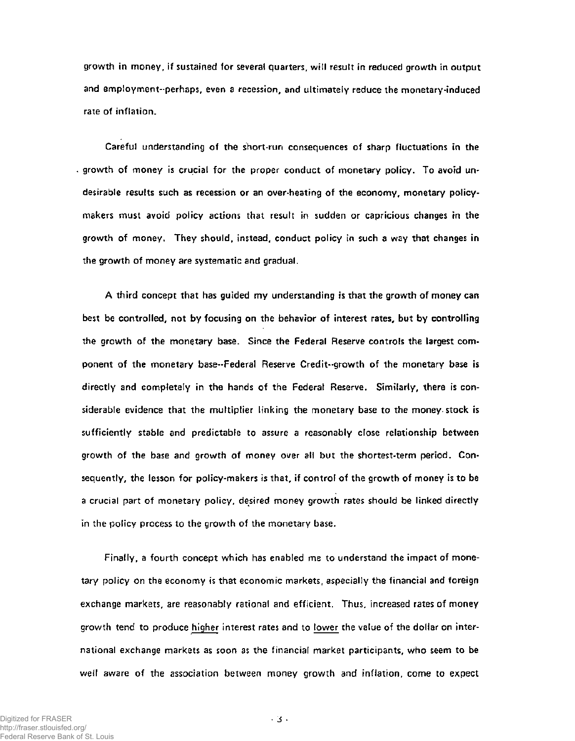growth in money, if sustained for several quarters, will result in reduced growth in output and employment-perhaps, even a recession, and ultimately reduce the monetary-induced rate of inflation.

Careful understanding of the short-run consequences of sharp fluctuations in the growth of money is crucial for the proper conduct of monetary policy. To avoid undesirable results such as recession or an over-heating of the economy, monetary policymakers must avoid policy actions that result in sudden or capricious changes in the growth of money. They should, instead, conduct policy in such a way that changes in the growth of money are systematic and gradual.

A third concept that has guided my understanding is that the growth of money can best be controlled, not by focusing on the behavior of interest rates, but by controlling the growth of the monetary base. Since the Federal Reserve controls the largest component of the monetary base-Federal Reserve Credit-growth of the monetary base is directly and completely in the hands of the Federal Reserve. Similarly, there is considerable evidence that the multiplier linking the monetary base to the money stock is sufficiently stable and predictable to assure a reasonably close relationship between growth of the base and growth of money over all but the shortest-term period. Consequently, the lesson for policy-makers is that, if control of the growth of money is to be a crucial part of monetary policy, desired money growth rates should be linked directly in the policy process to the growth of the monetary base.

Finally, a fourth concept which has enabled me to understand the impact of monetary policy on the economy is that economic markets, especially the financial and foreign exchange markets, are reasonably rational and efficient. Thus, increased rates of money growth tend to produce higher interest rates and to lower the value of the dollar on international exchange markets as soon as the financial market participants, who seem to be well aware of the association between money growth and inflation, come to expect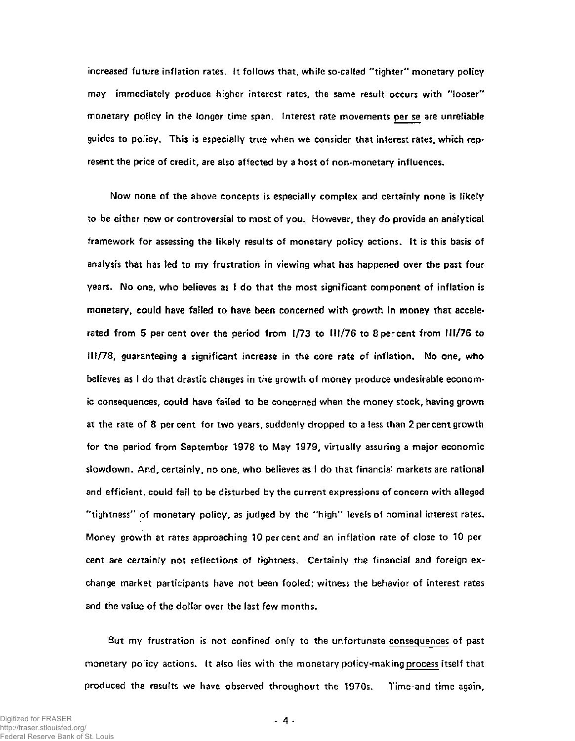increased future inflation rates. It follows that, while so-called "tighter" monetary policy may immediately produce higher interest rates, the same result occurs with "looser" monetary poficy in the longer time span. Interest rate movements per se are unreliable guides to policy. This is especially true when we consider that interest rates, which represent the price of credit, are also affected by a host of non-monetary influences.

Now none of the above concepts is especially complex and certainly none is likely to be either new or controversial to most of you. However, they do provide an analytical framework for assessing the likely results of monetary policy actions, ft is this basis of analysis that has led to my frustration in viewing what has happened over the past four years. No one, who believes as I do that the most significant component of inflation is monetary, could have failed to have been concerned with growth in money that accelerated from 5 percent over the period from 1/73 to 111/76 to 8percent from HI/76 to 111/78, guaranteeing a significant increase in the core rate of inflation. No one, who believes as I do that drastic changes in the growth of money produce undesirable economic consequences, could have failed to be concerned when the money stock, having grown at the rate of 8 percent for two years, suddenly dropped to a less than 2 per cent growth for the period from September 1978 to May 1979, virtually assuring a major economic slowdown. And, certainly, no one, who believes as I do that financial markets are rational and efficient, could fail to be disturbed by the current expressions of concern with alleged "tightness" of monetary policy, as judged by the "high" levels of nominal interest rates. Money growth at rates approaching 10 percent and an inflation rate of close to 10 per cent are certainly not reflections of tightness. Certainly the financial and foreign exchange market participants have not been fooled; witness the behavior of interest rates and the value of the dollar over the last few months.

But my frustration is not confined only to the unfortunate consequences of past monetary policy actions. It also lies with the monetary policy-making process itself that produced the results we have observed throughout the 1970s. Time and time again,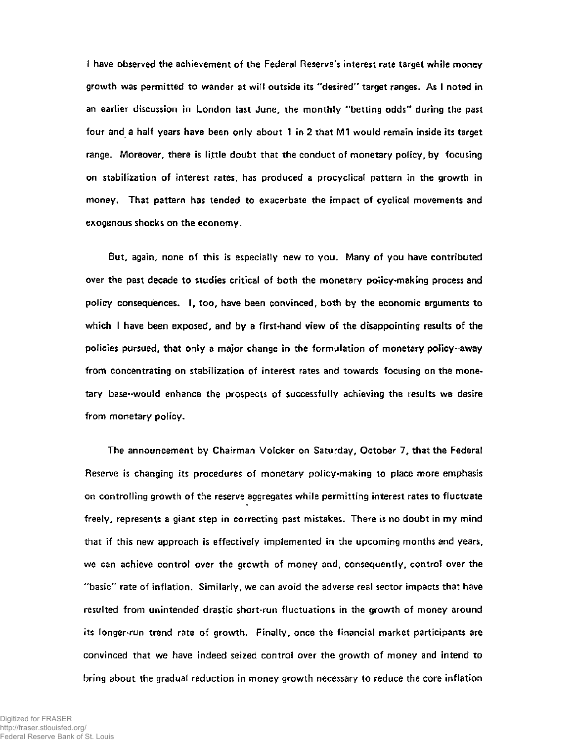I have observed the achievement of the Federal Reserve's interest rate target while money growth was permitted to wander at will outside its "desired" target ranges. As I noted in an earlier discussion in London last June, the monthly "betting odds" during the past four and a half years have been only about 1 in 2 that M1 would remain inside its target range. Moreover, there is little doubt that the conduct of monetary policy, by focusing on stabilization of interest rates, has produced a procyclical pattern in the growth in money. That pattern has tended to exacerbate the impact of cyclical movements and exogenous shocks on the economy.

But, again, none of this is especially new to you. Many of you have contributed over the past decade to studies critical of both the monetary policy-making process and policy consequences. I, too, have been convinced, both by the economic arguments to which I have been exposed, and by a first-hand view of the disappointing results of the policies pursued, that only a major change in the formulation of monetary policy-away from concentrating on stabilization of interest rates and towards focusing on the monetary base-would enhance the prospects of successfully achieving the results we desire from monetary policy.

The announcement by Chairman Volcker on Saturday, October 7, that the Federal Reserve is changing its procedures of monetary policy-making to place more emphasis on controlling growth of the reserve aggregates while permitting interest rates to fluctuate freely, represents a giant step in correcting past mistakes. There is no doubt in my mind that if this new approach is effectively implemented in the upcoming months and years, we can achieve control over the growth of money and, consequently, control over the "basic" rate of inflation. Similarly, we can avoid the adverse real sector impacts that have resulted from unintended drastic short-run fluctuations in the growth of money around its longer-run trend rate of growth. Finally, once the financial market participants are convinced that we have indeed seized control over the growth of money and intend to bring about the gradual reduction in money growth necessary to reduce the core inflation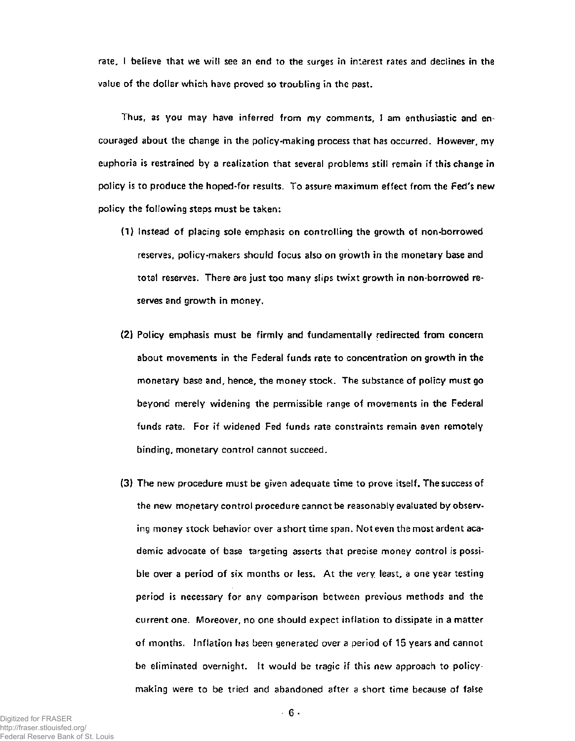rate, I believe that we will see an end to the surges in interest rates and declines in the value of the dollar which have proved so troubling in the past.

Thus, as you may have inferred from my comments, I am enthusiastic and encouraged about the change in the policy-making process that has occurred. However, my euphoria is restrained by a realization that several problems still remain if this change in policy is to produce the hoped-for results. To assure maximum effect from the Fed's new policy the following steps must be taken:

- (1) Instead of placing sole emphasis on controlling the growth of non-borrowed reserves, policy-makers should focus also on growth in the monetary base and total reserves. There are just too many slips twixt growth in non-borrowed reserves and growth in money.
- (2) Policy emphasis must be firmly and fundamentally redirected from concern about movements in the Federal funds rate to concentration on growth in the monetary base and, hence, the money stock. The substance of policy must go beyond merely widening the permissible range of movements in the Federal funds rate. For if widened Fed funds rate constraints remain even remotely binding, monetary control cannot succeed.
- (3) The new procedure must be given adequate time to prove itself. The success of the new monetary control procedure cannot be reasonably evaluated by observing money stock behavior over a short time span. Not even the most ardent academic advocate of base targeting asserts that precise money control is possible over a period of six months or less. At the very least, a one year testing period is necessary for any comparison between previous methods and the current one. Moreover, no one should expect inflation to dissipate in a matter of months. Inflation has been generated over a period of 15 years and cannot be eliminated overnight. It would be tragic if this new approach to policymaking were to be tried and abandoned after a short time because of false